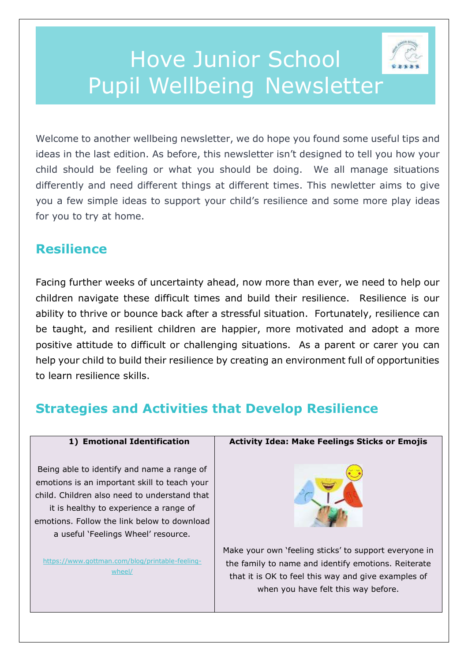# Hove Junior School Pupil Wellbeing Newsletter

Welcome to another wellbeing newsletter, we do hope you found some useful tips and ideas in the last edition. As before, this newsletter isn't designed to tell you how your child should be feeling or what you should be doing. We all manage situations differently and need different things at different times. This newletter aims to give you a few simple ideas to support your child's resilience and some more play ideas for you to try at home.

# **Resilience**

Facing further weeks of uncertainty ahead, now more than ever, we need to help our children navigate these difficult times and build their resilience. Resilience is our ability to thrive or bounce back after a stressful situation. Fortunately, resilience can be taught, and resilient children are happier, more motivated and adopt a more positive attitude to difficult or challenging situations. As a parent or carer you can help your child to build their resilience by creating an environment full of opportunities to learn resilience skills.

# **Strategies and Activities that Develop Resilience**

# **1) Emotional Identification**

Being able to identify and name a range of emotions is an important skill to teach your child. Children also need to understand that it is healthy to experience a range of emotions. Follow the link below to download a useful 'Feelings Wheel' resource.

[https://www.gottman.com/blog/printable-feeling](https://www.gottman.com/blog/printable-feeling-wheel/)[wheel/](https://www.gottman.com/blog/printable-feeling-wheel/)

# **Activity Idea: Make Feelings Sticks or Emojis**



Make your own 'feeling sticks' to support everyone in the family to name and identify emotions. Reiterate that it is OK to feel this way and give examples of when you have felt this way before.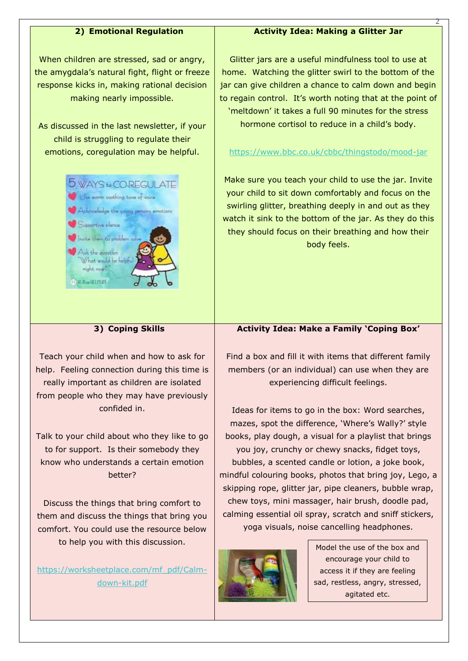### **2) Emotional Regulation**

When children are stressed, sad or angry, the amygdala's natural fight, flight or freeze response kicks in, making rational decision making nearly impossible.

As discussed in the last newsletter, if your child is struggling to regulate their emotions, coregulation may be helpful.



# Glitter jars are a useful mindfulness tool to use at home. Watching the glitter swirl to the bottom of the jar can give children a chance to calm down and begin to regain control. It's worth noting that at the point of 'meltdown' it takes a full 90 minutes for the stress

**Activity Idea: Making a Glitter Jar**

2

hormone cortisol to reduce in a child's body.

#### <https://www.bbc.co.uk/cbbc/thingstodo/mood-jar>

Make sure you teach your child to use the jar. Invite your child to sit down comfortably and focus on the swirling glitter, breathing deeply in and out as they watch it sink to the bottom of the jar. As they do this they should focus on their breathing and how their body feels.

### **3) Coping Skills**

Teach your child when and how to ask for help. Feeling connection during this time is really important as children are isolated from people who they may have previously confided in.

Talk to your child about who they like to go to for support. Is their somebody they know who understands a certain emotion better?

Discuss the things that bring comfort to them and discuss the things that bring you comfort. You could use the resource below to help you with this discussion.

[https://worksheetplace.com/mf\\_pdf/Calm](https://worksheetplace.com/mf_pdf/Calm-down-kit.pdf)[down-kit.pdf](https://worksheetplace.com/mf_pdf/Calm-down-kit.pdf)



Find a box and fill it with items that different family members (or an individual) can use when they are experiencing difficult feelings.

Ideas for items to go in the box: Word searches, mazes, spot the difference, 'Where's Wally?' style books, play dough, a visual for a playlist that brings you joy, crunchy or chewy snacks, fidget toys, bubbles, a scented candle or lotion, a joke book, mindful colouring books, photos that bring joy, Lego, a skipping rope, glitter jar, pipe cleaners, bubble wrap, chew toys, mini massager, hair brush, doodle pad, calming essential oil spray, scratch and sniff stickers, yoga visuals, noise cancelling headphones.



Model the use of the box and encourage your child to access it if they are feeling sad, restless, angry, stressed, agitated etc.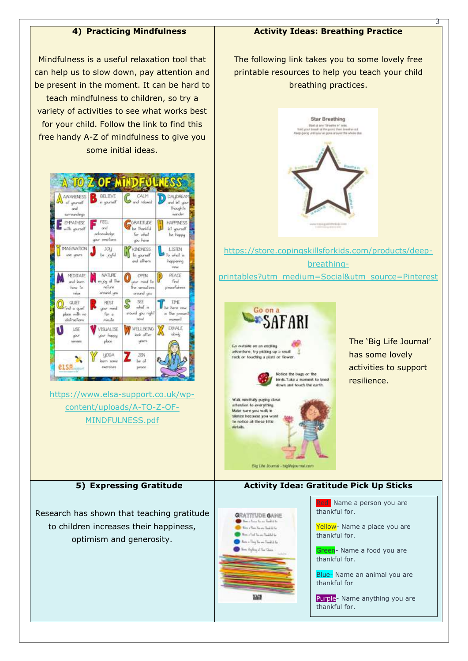#### **4) Practicing Mindfulness**

#### **Activity Ideas: Breathing Practice**

The following link takes you to some lovely free

3

Mindfulness is a useful relaxation tool that can help us to slow down, pay attention and be present in the moment. It can be hard to teach mindfulness to children, so try a variety of activities to see what works best for your child. Follow the link to find this free handy A-Z of mindfulness to give you some initial ideas.



[https://www.elsa-support.co.uk/wp](https://www.elsa-support.co.uk/wp-content/uploads/A-TO-Z-OF-MINDFULNESS.pdf)[content/uploads/A-TO-Z-OF-](https://www.elsa-support.co.uk/wp-content/uploads/A-TO-Z-OF-MINDFULNESS.pdf)[MINDFULNESS.pdf](https://www.elsa-support.co.uk/wp-content/uploads/A-TO-Z-OF-MINDFULNESS.pdf)

#### **5) Expressing Gratitude**

Research has shown that teaching gratitude to children increases their happiness, optimism and generosity.





[https://store.copingskillsforkids.com/products/deep](https://store.copingskillsforkids.com/products/deep-breathing-printables?utm_medium=Social&utm_source=Pinterest)[breathing](https://store.copingskillsforkids.com/products/deep-breathing-printables?utm_medium=Social&utm_source=Pinterest)[printables?utm\\_medium=Social&utm\\_source=Pinterest](https://store.copingskillsforkids.com/products/deep-breathing-printables?utm_medium=Social&utm_source=Pinterest)



Bio Life Journal - biolifeicumal.com

Walk mindfully paying close attention to everything. Make sure you walk in slence because you to notice all those little

details



has some lovely activities to support resilience.

The 'Big Life Journal'



- Name a person you are thankful for.

**Activity Idea: Gratitude Pick Up Sticks**

Yellow- Name a place you are thankful for.

Green- Name a food you are thankful for.

Blue- Name an animal you are thankful for

Purple- Name anything you are thankful for.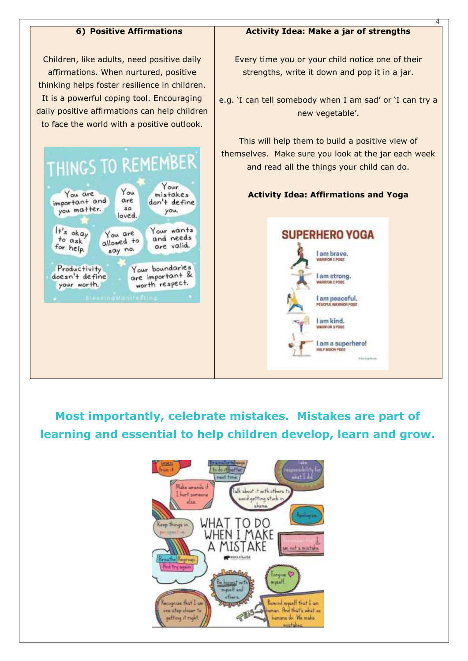## **6) Positive Affirmations**

Children, like adults, need positive daily affirmations. When nurtured, positive thinking helps foster resilience in children. It is a powerful coping tool. Encouraging daily positive affirmations can help children to face the world with a positive outlook.

#### THINGS TO REMEMBER Your You You are mistakes important and are don't define you matter.  $SO$ you, loved.  $H's$  okay Your wants You are and needs to ask allowed to are valid. for help. say no. Your boundaries Productivity are important & doesn't define worth respect. your worth.

## **Activity Idea: Make a jar of strengths**

4

Every time you or your child notice one of their strengths, write it down and pop it in a jar.

e.g. 'I can tell somebody when I am sad' or 'I can try a new vegetable'.

This will help them to build a positive view of themselves. Make sure you look at the jar each week and read all the things your child can do.

# **Activity Idea: Affirmations and Yoga**



**Most importantly, celebrate mistakes. Mistakes are part of learning and essential to help children develop, learn and grow.**